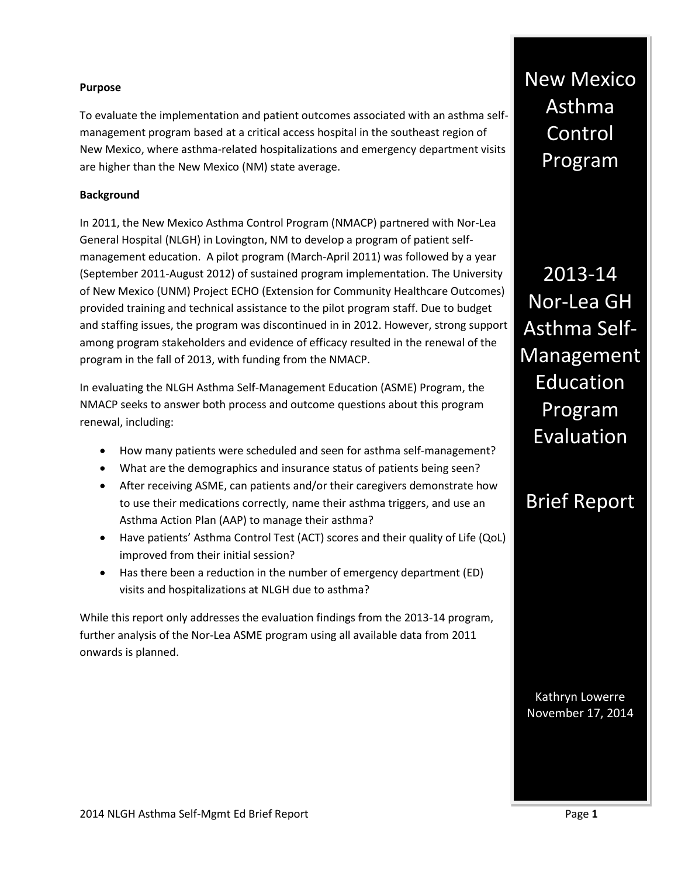#### **Purpose**

To evaluate the implementation and patient outcomes associated with an asthma selfmanagement program based at a critical access hospital in the southeast region of New Mexico, where asthma-related hospitalizations and emergency department visits are higher than the New Mexico (NM) state average.

## **Background**

In 2011, the New Mexico Asthma Control Program (NMACP) partnered with Nor-Lea General Hospital (NLGH) in Lovington, NM to develop a program of patient selfmanagement education. A pilot program (March-April 2011) was followed by a year (September 2011-August 2012) of sustained program implementation. The University of New Mexico (UNM) Project ECHO (Extension for Community Healthcare Outcomes) provided training and technical assistance to the pilot program staff. Due to budget and staffing issues, the program was discontinued in in 2012. However, strong support among program stakeholders and evidence of efficacy resulted in the renewal of the program in the fall of 2013, with funding from the NMACP.

In evaluating the NLGH Asthma Self-Management Education (ASME) Program, the NMACP seeks to answer both process and outcome questions about this program renewal, including:

- How many patients were scheduled and seen for asthma self-management?
- What are the demographics and insurance status of patients being seen?
- After receiving ASME, can patients and/or their caregivers demonstrate how to use their medications correctly, name their asthma triggers, and use an Asthma Action Plan (AAP) to manage their asthma?
- Have patients' Asthma Control Test (ACT) scores and their quality of Life (QoL) improved from their initial session?
- Has there been a reduction in the number of emergency department (ED) visits and hospitalizations at NLGH due to asthma?

While this report only addresses the evaluation findings from the 2013-14 program, further analysis of the Nor-Lea ASME program using all available data from 2011 onwards is planned.

New Mexico Asthma Control Program

2013-14 Nor-Lea GH Asthma Self-Management Education Program Evaluation

# Brief Report

Kathryn Lowerre November 17, 2014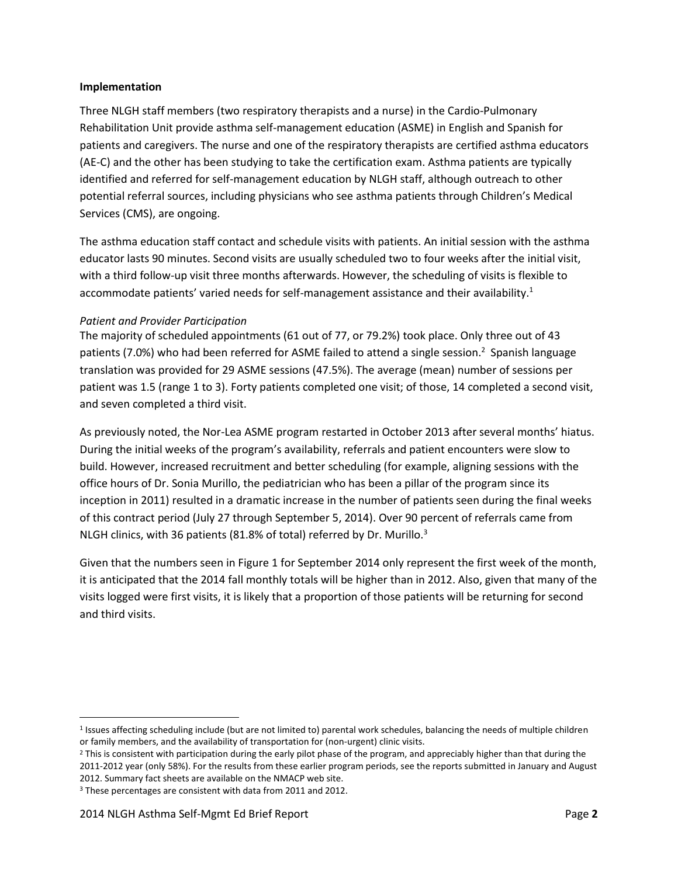#### **Implementation**

Three NLGH staff members (two respiratory therapists and a nurse) in the Cardio-Pulmonary Rehabilitation Unit provide asthma self-management education (ASME) in English and Spanish for patients and caregivers. The nurse and one of the respiratory therapists are certified asthma educators (AE-C) and the other has been studying to take the certification exam. Asthma patients are typically identified and referred for self-management education by NLGH staff, although outreach to other potential referral sources, including physicians who see asthma patients through Children's Medical Services (CMS), are ongoing.

The asthma education staff contact and schedule visits with patients. An initial session with the asthma educator lasts 90 minutes. Second visits are usually scheduled two to four weeks after the initial visit, with a third follow-up visit three months afterwards. However, the scheduling of visits is flexible to accommodate patients' varied needs for self-management assistance and their availability.<sup>1</sup>

#### *Patient and Provider Participation*

The majority of scheduled appointments (61 out of 77, or 79.2%) took place. Only three out of 43 patients (7.0%) who had been referred for ASME failed to attend a single session.<sup>2</sup> Spanish language translation was provided for 29 ASME sessions (47.5%). The average (mean) number of sessions per patient was 1.5 (range 1 to 3). Forty patients completed one visit; of those, 14 completed a second visit, and seven completed a third visit.

As previously noted, the Nor-Lea ASME program restarted in October 2013 after several months' hiatus. During the initial weeks of the program's availability, referrals and patient encounters were slow to build. However, increased recruitment and better scheduling (for example, aligning sessions with the office hours of Dr. Sonia Murillo, the pediatrician who has been a pillar of the program since its inception in 2011) resulted in a dramatic increase in the number of patients seen during the final weeks of this contract period (July 27 through September 5, 2014). Over 90 percent of referrals came from NLGH clinics, with 36 patients (81.8% of total) referred by Dr. Murillo.<sup>3</sup>

Given that the numbers seen in Figure 1 for September 2014 only represent the first week of the month, it is anticipated that the 2014 fall monthly totals will be higher than in 2012. Also, given that many of the visits logged were first visits, it is likely that a proportion of those patients will be returning for second and third visits.

 $\overline{\phantom{a}}$ 

<sup>&</sup>lt;sup>1</sup> Issues affecting scheduling include (but are not limited to) parental work schedules, balancing the needs of multiple children or family members, and the availability of transportation for (non-urgent) clinic visits.

<sup>&</sup>lt;sup>2</sup> This is consistent with participation during the early pilot phase of the program, and appreciably higher than that during the 2011-2012 year (only 58%). For the results from these earlier program periods, see the reports submitted in January and August 2012. Summary fact sheets are available on the NMACP web site.

<sup>3</sup> These percentages are consistent with data from 2011 and 2012.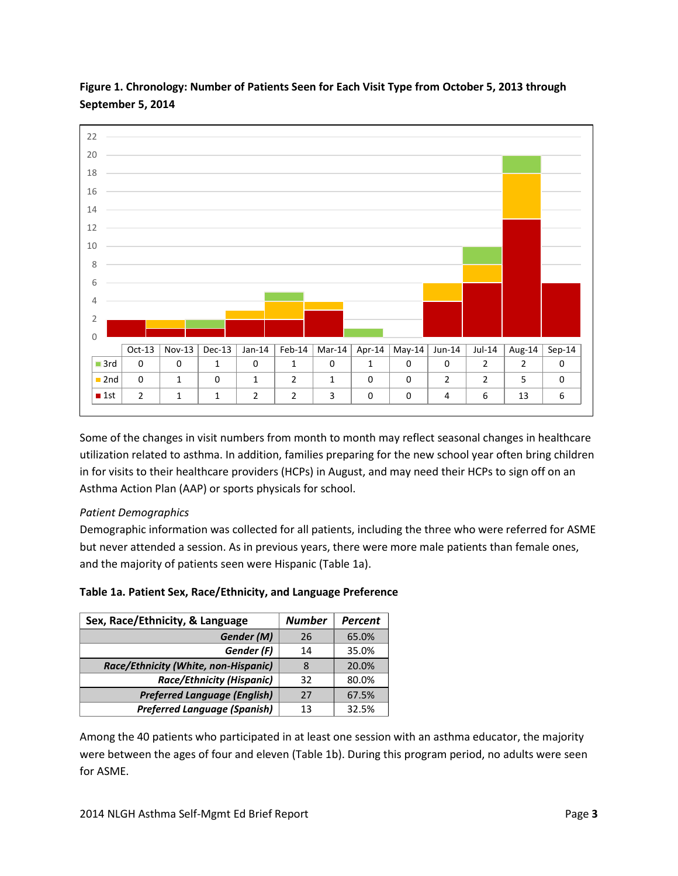

**Figure 1. Chronology: Number of Patients Seen for Each Visit Type from October 5, 2013 through September 5, 2014**

Some of the changes in visit numbers from month to month may reflect seasonal changes in healthcare utilization related to asthma. In addition, families preparing for the new school year often bring children in for visits to their healthcare providers (HCPs) in August, and may need their HCPs to sign off on an Asthma Action Plan (AAP) or sports physicals for school.

# *Patient Demographics*

Demographic information was collected for all patients, including the three who were referred for ASME but never attended a session. As in previous years, there were more male patients than female ones, and the majority of patients seen were Hispanic (Table 1a).

|  |  | Table 1a. Patient Sex, Race/Ethnicity, and Language Preference |  |  |
|--|--|----------------------------------------------------------------|--|--|
|--|--|----------------------------------------------------------------|--|--|

| Sex, Race/Ethnicity, & Language      | <b>Number</b> | <b>Percent</b> |
|--------------------------------------|---------------|----------------|
| Gender (M)                           | 26            | 65.0%          |
| Gender (F)                           | 14            | 35.0%          |
| Race/Ethnicity (White, non-Hispanic) | 8             | 20.0%          |
| <b>Race/Ethnicity (Hispanic)</b>     | 32            | 80.0%          |
| <b>Preferred Language (English)</b>  | 27            | 67.5%          |
| <b>Preferred Language (Spanish)</b>  | 13            | 32.5%          |

Among the 40 patients who participated in at least one session with an asthma educator, the majority were between the ages of four and eleven (Table 1b). During this program period, no adults were seen for ASME.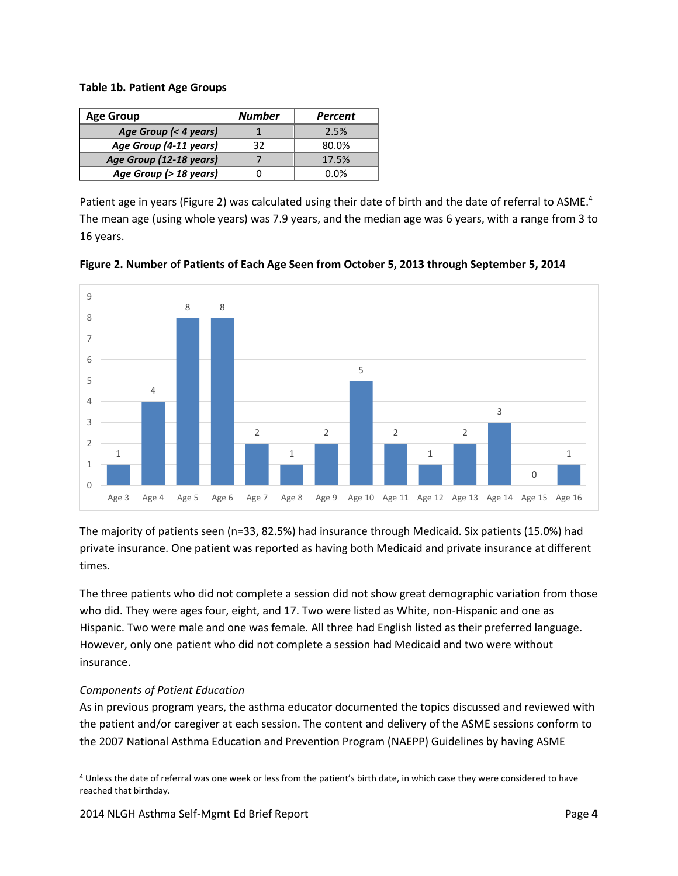#### **Table 1b. Patient Age Groups**

| <b>Age Group</b>        | <b>Number</b> | Percent |
|-------------------------|---------------|---------|
| Age Group (< 4 years)   |               | 2.5%    |
| Age Group (4-11 years)  | 32            | 80.0%   |
| Age Group (12-18 years) |               | 17.5%   |
| Age Group (> 18 years)  |               | 0.0%    |

Patient age in years (Figure 2) was calculated using their date of birth and the date of referral to ASME.<sup>4</sup> The mean age (using whole years) was 7.9 years, and the median age was 6 years, with a range from 3 to 16 years.



**Figure 2. Number of Patients of Each Age Seen from October 5, 2013 through September 5, 2014**

The majority of patients seen (n=33, 82.5%) had insurance through Medicaid. Six patients (15.0%) had private insurance. One patient was reported as having both Medicaid and private insurance at different times.

The three patients who did not complete a session did not show great demographic variation from those who did. They were ages four, eight, and 17. Two were listed as White, non-Hispanic and one as Hispanic. Two were male and one was female. All three had English listed as their preferred language. However, only one patient who did not complete a session had Medicaid and two were without insurance.

# *Components of Patient Education*

 $\overline{\phantom{a}}$ 

As in previous program years, the asthma educator documented the topics discussed and reviewed with the patient and/or caregiver at each session. The content and delivery of the ASME sessions conform to the 2007 National Asthma Education and Prevention Program (NAEPP) Guidelines by having ASME

<sup>4</sup> Unless the date of referral was one week or less from the patient's birth date, in which case they were considered to have reached that birthday.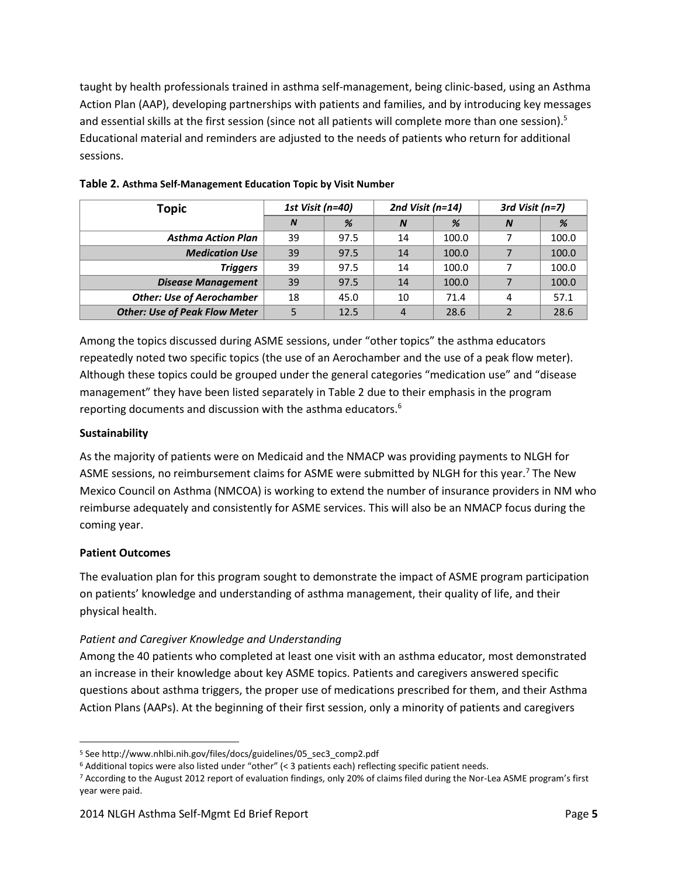taught by health professionals trained in asthma self-management, being clinic-based, using an Asthma Action Plan (AAP), developing partnerships with patients and families, and by introducing key messages and essential skills at the first session (since not all patients will complete more than one session).<sup>5</sup> Educational material and reminders are adjusted to the needs of patients who return for additional sessions.

| <b>Topic</b>                         | 1st Visit (n=40) |      | 2nd Visit ( $n=14$ ) |       | 3rd Visit $(n=7)$ |       |
|--------------------------------------|------------------|------|----------------------|-------|-------------------|-------|
|                                      | <sub>N</sub>     | %    | $\boldsymbol{N}$     | %     | $\boldsymbol{N}$  | %     |
| <b>Asthma Action Plan</b>            | 39               | 97.5 | 14                   | 100.0 |                   | 100.0 |
| <b>Medication Use</b>                | 39               | 97.5 | 14                   | 100.0 |                   | 100.0 |
| <b>Triggers</b>                      | 39               | 97.5 | 14                   | 100.0 |                   | 100.0 |
| <b>Disease Management</b>            | 39               | 97.5 | 14                   | 100.0 |                   | 100.0 |
| <b>Other: Use of Aerochamber</b>     | 18               | 45.0 | 10                   | 71.4  |                   | 57.1  |
| <b>Other: Use of Peak Flow Meter</b> |                  | 12.5 | 4                    | 28.6  |                   | 28.6  |

## **Table 2. Asthma Self-Management Education Topic by Visit Number**

Among the topics discussed during ASME sessions, under "other topics" the asthma educators repeatedly noted two specific topics (the use of an Aerochamber and the use of a peak flow meter). Although these topics could be grouped under the general categories "medication use" and "disease management" they have been listed separately in Table 2 due to their emphasis in the program reporting documents and discussion with the asthma educators.<sup>6</sup>

#### **Sustainability**

As the majority of patients were on Medicaid and the NMACP was providing payments to NLGH for ASME sessions, no reimbursement claims for ASME were submitted by NLGH for this year.<sup>7</sup> The New Mexico Council on Asthma (NMCOA) is working to extend the number of insurance providers in NM who reimburse adequately and consistently for ASME services. This will also be an NMACP focus during the coming year.

#### **Patient Outcomes**

 $\overline{a}$ 

The evaluation plan for this program sought to demonstrate the impact of ASME program participation on patients' knowledge and understanding of asthma management, their quality of life, and their physical health.

#### *Patient and Caregiver Knowledge and Understanding*

Among the 40 patients who completed at least one visit with an asthma educator, most demonstrated an increase in their knowledge about key ASME topics. Patients and caregivers answered specific questions about asthma triggers, the proper use of medications prescribed for them, and their Asthma Action Plans (AAPs). At the beginning of their first session, only a minority of patients and caregivers

<sup>5</sup> See http://www.nhlbi.nih.gov/files/docs/guidelines/05\_sec3\_comp2.pdf

<sup>6</sup> Additional topics were also listed under "other" (< 3 patients each) reflecting specific patient needs.

<sup>7</sup> According to the August 2012 report of evaluation findings, only 20% of claims filed during the Nor-Lea ASME program's first year were paid.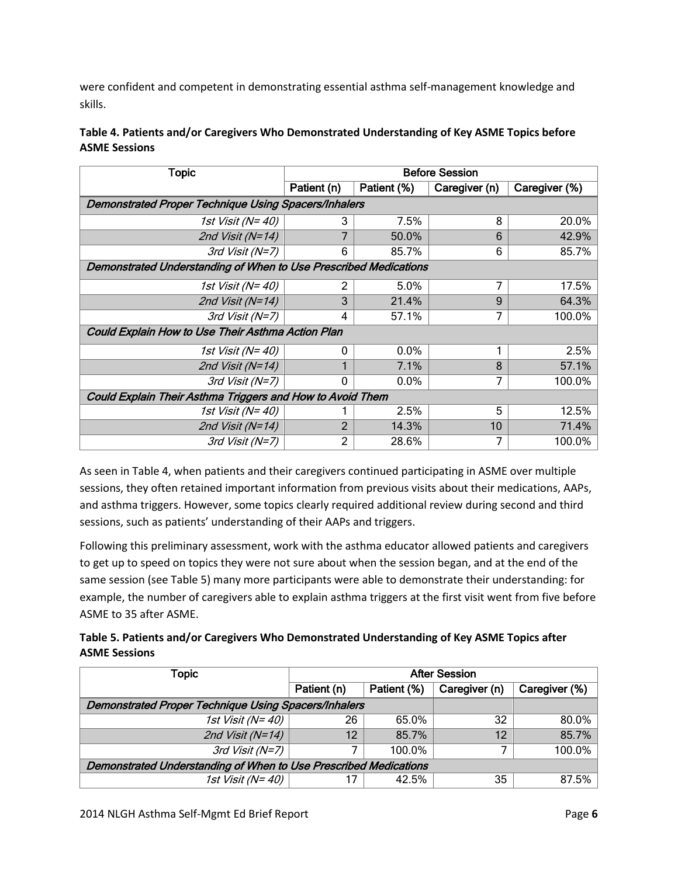were confident and competent in demonstrating essential asthma self-management knowledge and skills.

| Table 4. Patients and/or Caregivers Who Demonstrated Understanding of Key ASME Topics before |
|----------------------------------------------------------------------------------------------|
| <b>ASME Sessions</b>                                                                         |

| <b>Topic</b>                                                     | <b>Before Session</b>                             |       |               |               |  |  |
|------------------------------------------------------------------|---------------------------------------------------|-------|---------------|---------------|--|--|
|                                                                  | Patient (n)<br>Patient (%)                        |       | Caregiver (n) | Caregiver (%) |  |  |
| Demonstrated Proper Technique Using Spacers/Inhalers             |                                                   |       |               |               |  |  |
| 1st Visit (N=40)                                                 | 3                                                 | 7.5%  | 8             | 20.0%         |  |  |
| 2nd Visit (N=14)                                                 | 7                                                 | 50.0% | 6             | 42.9%         |  |  |
| $3rd$ Visit (N=7)                                                | 6                                                 | 85.7% | 6             | 85.7%         |  |  |
| Demonstrated Understanding of When to Use Prescribed Medications |                                                   |       |               |               |  |  |
| 1st Visit (N=40)                                                 | 2                                                 | 5.0%  | 7             | 17.5%         |  |  |
| 2nd Visit (N=14)                                                 | 3                                                 | 21.4% | 9             | 64.3%         |  |  |
| 3rd Visit (N=7)                                                  | 4                                                 | 57.1% | 7             | 100.0%        |  |  |
|                                                                  | Could Explain How to Use Their Asthma Action Plan |       |               |               |  |  |
| 1st Visit (N=40)                                                 | 0                                                 | 0.0%  |               | 2.5%          |  |  |
| 2nd Visit (N=14)                                                 |                                                   | 7.1%  | 8             | 57.1%         |  |  |
| 3rd Visit (N=7)                                                  | 0                                                 | 0.0%  | 7             | 100.0%        |  |  |
| Could Explain Their Asthma Triggers and How to Avoid Them        |                                                   |       |               |               |  |  |
| 1st Visit (N=40)                                                 |                                                   | 2.5%  | 5             | 12.5%         |  |  |
| 2nd Visit (N=14)                                                 | 2                                                 | 14.3% | 10            | 71.4%         |  |  |
| 3rd Visit (N=7)                                                  | 2                                                 | 28.6% | 7             | 100.0%        |  |  |

As seen in Table 4, when patients and their caregivers continued participating in ASME over multiple sessions, they often retained important information from previous visits about their medications, AAPs, and asthma triggers. However, some topics clearly required additional review during second and third sessions, such as patients' understanding of their AAPs and triggers.

Following this preliminary assessment, work with the asthma educator allowed patients and caregivers to get up to speed on topics they were not sure about when the session began, and at the end of the same session (see Table 5) many more participants were able to demonstrate their understanding: for example, the number of caregivers able to explain asthma triggers at the first visit went from five before ASME to 35 after ASME.

| Table 5. Patients and/or Caregivers Who Demonstrated Understanding of Key ASME Topics after |
|---------------------------------------------------------------------------------------------|
| <b>ASME Sessions</b>                                                                        |

| Topic                                                            | <b>After Session</b>       |        |               |               |  |  |  |
|------------------------------------------------------------------|----------------------------|--------|---------------|---------------|--|--|--|
|                                                                  | Patient (n)<br>Patient (%) |        | Caregiver (n) | Caregiver (%) |  |  |  |
| <b>Demonstrated Proper Technique Using Spacers/Inhalers</b>      |                            |        |               |               |  |  |  |
| 1st Visit (N=40)                                                 | 26                         | 65.0%  | 32            | 80.0%         |  |  |  |
| 2nd Visit ( $N=14$ )                                             | 12                         |        | 12            | 85.7%         |  |  |  |
| 3rd Visit (N=7)                                                  |                            | 100.0% |               | 100.0%        |  |  |  |
| Demonstrated Understanding of When to Use Prescribed Medications |                            |        |               |               |  |  |  |
| 1st Visit (N=40)                                                 |                            | 42.5%  | 35            | 87.5%         |  |  |  |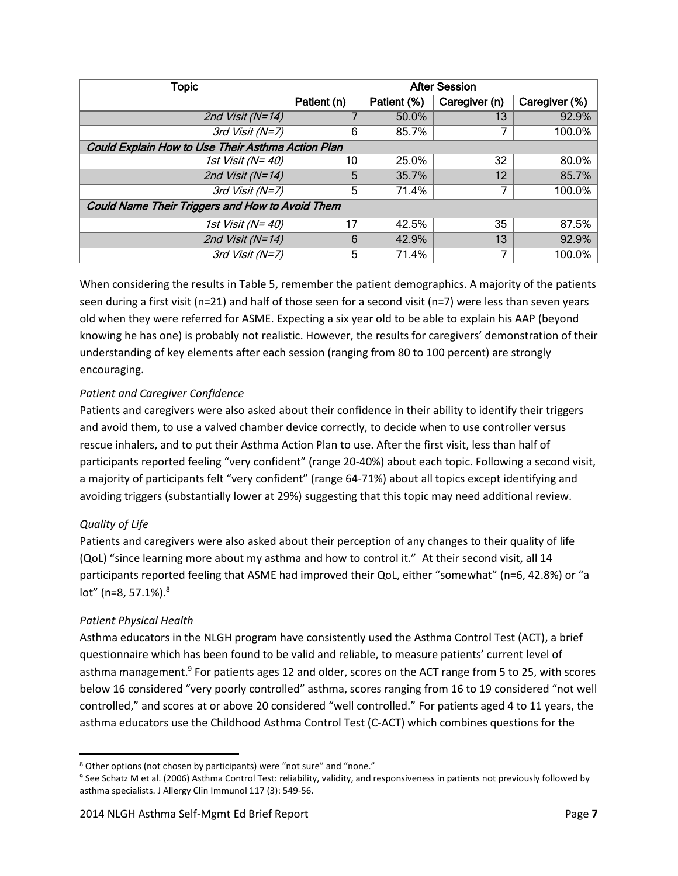| Topic                                                  | <b>After Session</b> |             |               |               |  |  |
|--------------------------------------------------------|----------------------|-------------|---------------|---------------|--|--|
|                                                        | Patient (n)          | Patient (%) | Caregiver (n) | Caregiver (%) |  |  |
| 2nd Visit ( $N=14$ )                                   |                      | 50.0%       | 13            | 92.9%         |  |  |
| 3rd Visit (N=7)                                        | 6                    | 85.7%       |               | 100.0%        |  |  |
| Could Explain How to Use Their Asthma Action Plan      |                      |             |               |               |  |  |
| 1st Visit (N=40)                                       | 10                   | 25.0%       | 32            | 80.0%         |  |  |
| 2nd Visit (N=14)                                       | 5                    | 35.7%       | 12            | 85.7%         |  |  |
| 3rd Visit (N=7)                                        | 5                    | 71.4%       |               | 100.0%        |  |  |
| <b>Could Name Their Triggers and How to Avoid Them</b> |                      |             |               |               |  |  |
| 1st Visit (N= 40)                                      | 17                   | 42.5%       | 35            | 87.5%         |  |  |
| 2nd Visit ( $N=14$ )                                   | 6                    | 42.9%       | 13            | 92.9%         |  |  |
| 3rd Visit (N=7)                                        | 5                    | 71.4%       | 7             | 100.0%        |  |  |

When considering the results in Table 5, remember the patient demographics. A majority of the patients seen during a first visit (n=21) and half of those seen for a second visit (n=7) were less than seven years old when they were referred for ASME. Expecting a six year old to be able to explain his AAP (beyond knowing he has one) is probably not realistic. However, the results for caregivers' demonstration of their understanding of key elements after each session (ranging from 80 to 100 percent) are strongly encouraging.

# *Patient and Caregiver Confidence*

Patients and caregivers were also asked about their confidence in their ability to identify their triggers and avoid them, to use a valved chamber device correctly, to decide when to use controller versus rescue inhalers, and to put their Asthma Action Plan to use. After the first visit, less than half of participants reported feeling "very confident" (range 20-40%) about each topic. Following a second visit, a majority of participants felt "very confident" (range 64-71%) about all topics except identifying and avoiding triggers (substantially lower at 29%) suggesting that this topic may need additional review.

# *Quality of Life*

l

Patients and caregivers were also asked about their perception of any changes to their quality of life (QoL) "since learning more about my asthma and how to control it." At their second visit, all 14 participants reported feeling that ASME had improved their QoL, either "somewhat" (n=6, 42.8%) or "a  $lot"$  (n=8, 57.1%). $8$ 

# *Patient Physical Health*

Asthma educators in the NLGH program have consistently used the Asthma Control Test (ACT), a brief questionnaire which has been found to be valid and reliable, to measure patients' current level of asthma management.<sup>9</sup> For patients ages 12 and older, scores on the ACT range from 5 to 25, with scores below 16 considered "very poorly controlled" asthma, scores ranging from 16 to 19 considered "not well controlled," and scores at or above 20 considered "well controlled." For patients aged 4 to 11 years, the asthma educators use the Childhood Asthma Control Test (C-ACT) which combines questions for the

<sup>8</sup> Other options (not chosen by participants) were "not sure" and "none."

<sup>9</sup> See Schatz M et al. (2006) Asthma Control Test: reliability, validity, and responsiveness in patients not previously followed by asthma specialists. J Allergy Clin Immunol 117 (3): 549-56.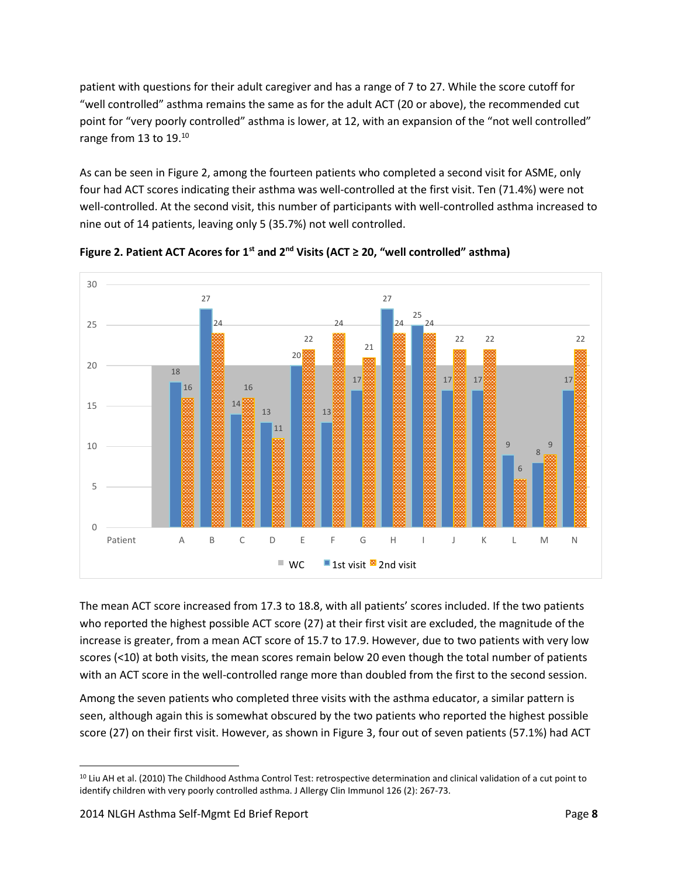patient with questions for their adult caregiver and has a range of 7 to 27. While the score cutoff for "well controlled" asthma remains the same as for the adult ACT (20 or above), the recommended cut point for "very poorly controlled" asthma is lower, at 12, with an expansion of the "not well controlled" range from 13 to 19.<sup>10</sup>

As can be seen in Figure 2, among the fourteen patients who completed a second visit for ASME, only four had ACT scores indicating their asthma was well-controlled at the first visit. Ten (71.4%) were not well-controlled. At the second visit, this number of participants with well-controlled asthma increased to nine out of 14 patients, leaving only 5 (35.7%) not well controlled.



**Figure 2. Patient ACT Acores for 1st and 2nd Visits (ACT ≥ 20, "well controlled" asthma)**

The mean ACT score increased from 17.3 to 18.8, with all patients' scores included. If the two patients who reported the highest possible ACT score (27) at their first visit are excluded, the magnitude of the increase is greater, from a mean ACT score of 15.7 to 17.9. However, due to two patients with very low scores (<10) at both visits, the mean scores remain below 20 even though the total number of patients with an ACT score in the well-controlled range more than doubled from the first to the second session.

Among the seven patients who completed three visits with the asthma educator, a similar pattern is seen, although again this is somewhat obscured by the two patients who reported the highest possible score (27) on their first visit. However, as shown in Figure 3, four out of seven patients (57.1%) had ACT

 $\overline{\phantom{a}}$ <sup>10</sup> Liu AH et al. (2010) The Childhood Asthma Control Test: retrospective determination and clinical validation of a cut point to identify children with very poorly controlled asthma. J Allergy Clin Immunol 126 (2): 267-73.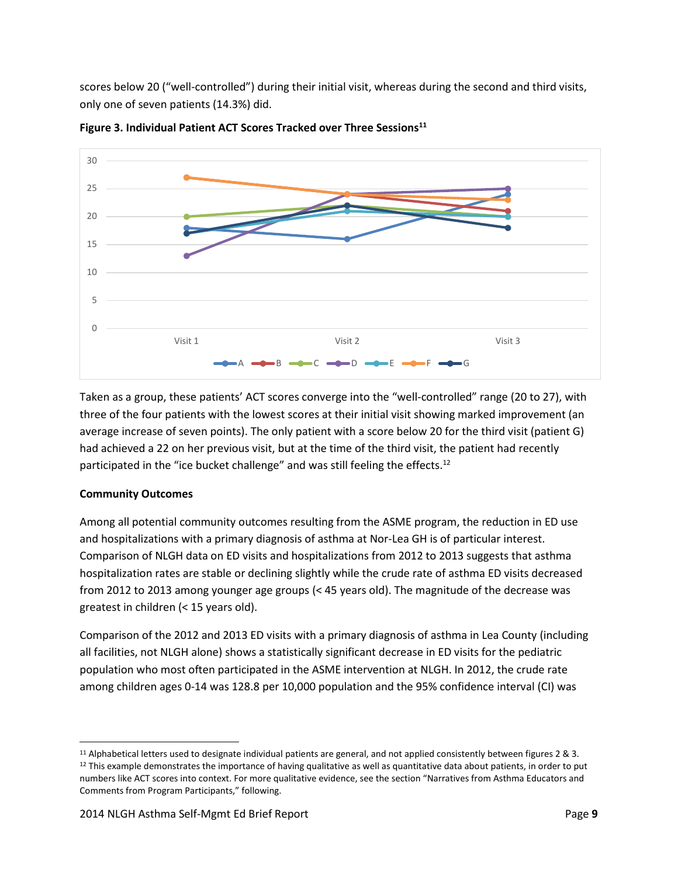scores below 20 ("well-controlled") during their initial visit, whereas during the second and third visits, only one of seven patients (14.3%) did.



**Figure 3. Individual Patient ACT Scores Tracked over Three Sessions<sup>11</sup>**

Taken as a group, these patients' ACT scores converge into the "well-controlled" range (20 to 27), with three of the four patients with the lowest scores at their initial visit showing marked improvement (an average increase of seven points). The only patient with a score below 20 for the third visit (patient G) had achieved a 22 on her previous visit, but at the time of the third visit, the patient had recently participated in the "ice bucket challenge" and was still feeling the effects.<sup>12</sup>

#### **Community Outcomes**

 $\overline{a}$ 

Among all potential community outcomes resulting from the ASME program, the reduction in ED use and hospitalizations with a primary diagnosis of asthma at Nor-Lea GH is of particular interest. Comparison of NLGH data on ED visits and hospitalizations from 2012 to 2013 suggests that asthma hospitalization rates are stable or declining slightly while the crude rate of asthma ED visits decreased from 2012 to 2013 among younger age groups (< 45 years old). The magnitude of the decrease was greatest in children (< 15 years old).

Comparison of the 2012 and 2013 ED visits with a primary diagnosis of asthma in Lea County (including all facilities, not NLGH alone) shows a statistically significant decrease in ED visits for the pediatric population who most often participated in the ASME intervention at NLGH. In 2012, the crude rate among children ages 0-14 was 128.8 per 10,000 population and the 95% confidence interval (CI) was

 $11$  Alphabetical letters used to designate individual patients are general, and not applied consistently between figures 2 & 3.  $12$  This example demonstrates the importance of having qualitative as well as quantitative data about patients, in order to put numbers like ACT scores into context. For more qualitative evidence, see the section "Narratives from Asthma Educators and Comments from Program Participants," following.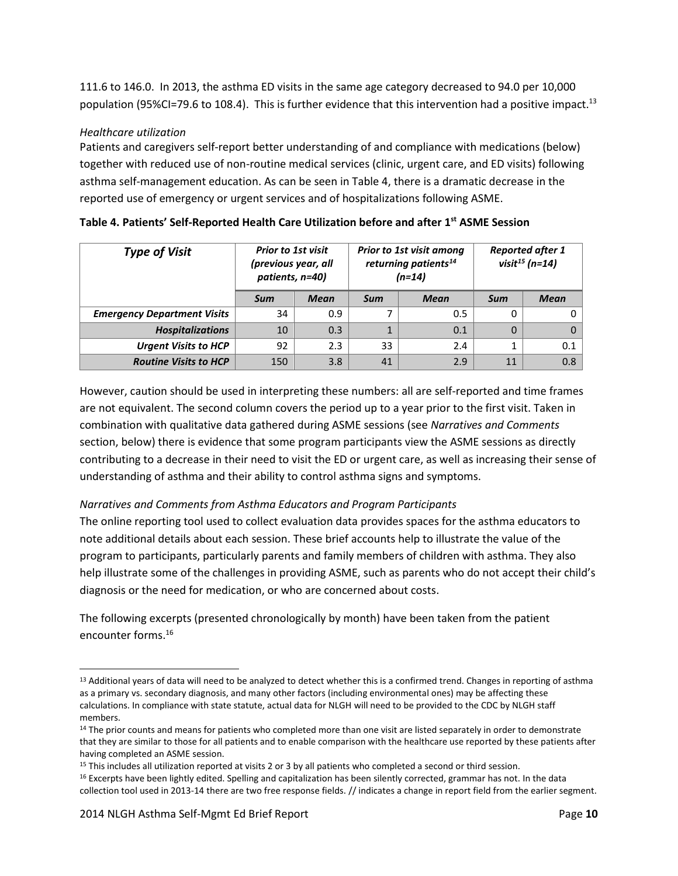111.6 to 146.0. In 2013, the asthma ED visits in the same age category decreased to 94.0 per 10,000 population (95%CI=79.6 to 108.4). This is further evidence that this intervention had a positive impact.<sup>13</sup>

#### *Healthcare utilization*

Patients and caregivers self-report better understanding of and compliance with medications (below) together with reduced use of non-routine medical services (clinic, urgent care, and ED visits) following asthma self-management education. As can be seen in Table 4, there is a dramatic decrease in the reported use of emergency or urgent services and of hospitalizations following ASME.

| <b>Type of Visit</b>               | <b>Prior to 1st visit</b><br>(previous year, all<br>patients, n=40) |             | <b>Prior to 1st visit among</b><br>returning patients <sup>14</sup><br>$(n=14)$ |     | <b>Reported after 1</b><br>visit $^{15}$ (n=14) |             |
|------------------------------------|---------------------------------------------------------------------|-------------|---------------------------------------------------------------------------------|-----|-------------------------------------------------|-------------|
|                                    | Sum                                                                 | <b>Mean</b> | <b>Mean</b><br>Sum                                                              |     | Sum                                             | <b>Mean</b> |
| <b>Emergency Department Visits</b> | 34                                                                  | 0.9         | ⇁                                                                               | 0.5 | 0                                               |             |
| <b>Hospitalizations</b>            | 10                                                                  | 0.3         | 1                                                                               | 0.1 | 0                                               |             |
| <b>Urgent Visits to HCP</b>        | 92                                                                  | 2.3         | 33                                                                              | 2.4 |                                                 | 0.1         |
| <b>Routine Visits to HCP</b>       | 150                                                                 | 3.8         | 41                                                                              | 2.9 | 11                                              | 0.8         |

**Table 4. Patients' Self-Reported Health Care Utilization before and after 1st ASME Session**

However, caution should be used in interpreting these numbers: all are self-reported and time frames are not equivalent. The second column covers the period up to a year prior to the first visit. Taken in combination with qualitative data gathered during ASME sessions (see *Narratives and Comments*  section, below) there is evidence that some program participants view the ASME sessions as directly contributing to a decrease in their need to visit the ED or urgent care, as well as increasing their sense of understanding of asthma and their ability to control asthma signs and symptoms.

# *Narratives and Comments from Asthma Educators and Program Participants*

The online reporting tool used to collect evaluation data provides spaces for the asthma educators to note additional details about each session. These brief accounts help to illustrate the value of the program to participants, particularly parents and family members of children with asthma. They also help illustrate some of the challenges in providing ASME, such as parents who do not accept their child's diagnosis or the need for medication, or who are concerned about costs.

The following excerpts (presented chronologically by month) have been taken from the patient encounter forms. 16

 $\overline{\phantom{a}}$ 

<sup>&</sup>lt;sup>13</sup> Additional years of data will need to be analyzed to detect whether this is a confirmed trend. Changes in reporting of asthma as a primary vs. secondary diagnosis, and many other factors (including environmental ones) may be affecting these calculations. In compliance with state statute, actual data for NLGH will need to be provided to the CDC by NLGH staff members.

<sup>&</sup>lt;sup>14</sup> The prior counts and means for patients who completed more than one visit are listed separately in order to demonstrate that they are similar to those for all patients and to enable comparison with the healthcare use reported by these patients after having completed an ASME session.

<sup>&</sup>lt;sup>15</sup> This includes all utilization reported at visits 2 or 3 by all patients who completed a second or third session.

<sup>&</sup>lt;sup>16</sup> Excerpts have been lightly edited. Spelling and capitalization has been silently corrected, grammar has not. In the data collection tool used in 2013-14 there are two free response fields. // indicates a change in report field from the earlier segment.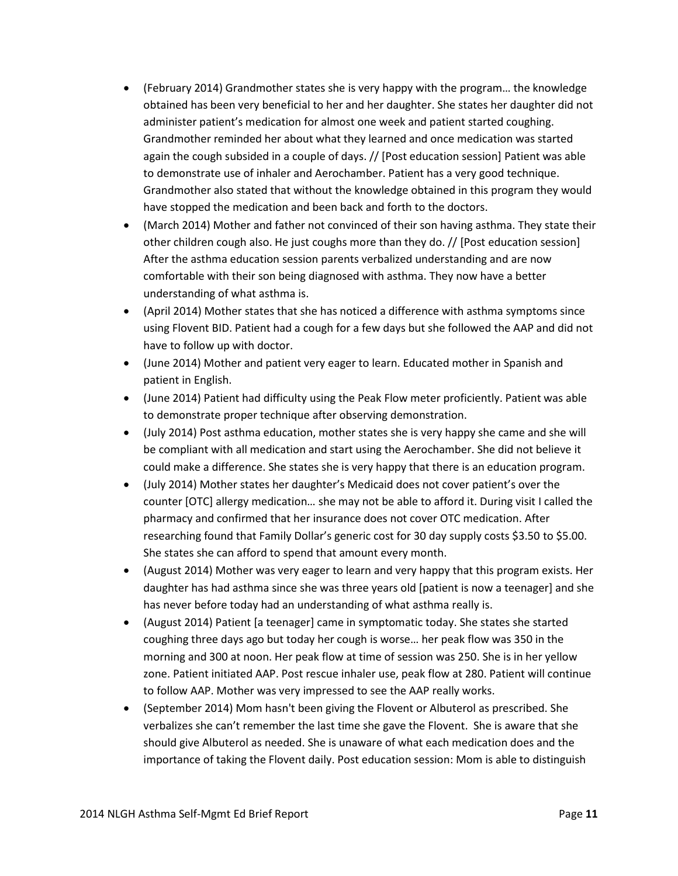- (February 2014) Grandmother states she is very happy with the program… the knowledge obtained has been very beneficial to her and her daughter. She states her daughter did not administer patient's medication for almost one week and patient started coughing. Grandmother reminded her about what they learned and once medication was started again the cough subsided in a couple of days. // [Post education session] Patient was able to demonstrate use of inhaler and Aerochamber. Patient has a very good technique. Grandmother also stated that without the knowledge obtained in this program they would have stopped the medication and been back and forth to the doctors.
- (March 2014) Mother and father not convinced of their son having asthma. They state their other children cough also. He just coughs more than they do. // [Post education session] After the asthma education session parents verbalized understanding and are now comfortable with their son being diagnosed with asthma. They now have a better understanding of what asthma is.
- (April 2014) Mother states that she has noticed a difference with asthma symptoms since using Flovent BID. Patient had a cough for a few days but she followed the AAP and did not have to follow up with doctor.
- (June 2014) Mother and patient very eager to learn. Educated mother in Spanish and patient in English.
- (June 2014) Patient had difficulty using the Peak Flow meter proficiently. Patient was able to demonstrate proper technique after observing demonstration.
- (July 2014) Post asthma education, mother states she is very happy she came and she will be compliant with all medication and start using the Aerochamber. She did not believe it could make a difference. She states she is very happy that there is an education program.
- (July 2014) Mother states her daughter's Medicaid does not cover patient's over the counter [OTC] allergy medication… she may not be able to afford it. During visit I called the pharmacy and confirmed that her insurance does not cover OTC medication. After researching found that Family Dollar's generic cost for 30 day supply costs \$3.50 to \$5.00. She states she can afford to spend that amount every month.
- (August 2014) Mother was very eager to learn and very happy that this program exists. Her daughter has had asthma since she was three years old [patient is now a teenager] and she has never before today had an understanding of what asthma really is.
- (August 2014) Patient [a teenager] came in symptomatic today. She states she started coughing three days ago but today her cough is worse… her peak flow was 350 in the morning and 300 at noon. Her peak flow at time of session was 250. She is in her yellow zone. Patient initiated AAP. Post rescue inhaler use, peak flow at 280. Patient will continue to follow AAP. Mother was very impressed to see the AAP really works.
- (September 2014) Mom hasn't been giving the Flovent or Albuterol as prescribed. She verbalizes she can't remember the last time she gave the Flovent. She is aware that she should give Albuterol as needed. She is unaware of what each medication does and the importance of taking the Flovent daily. Post education session: Mom is able to distinguish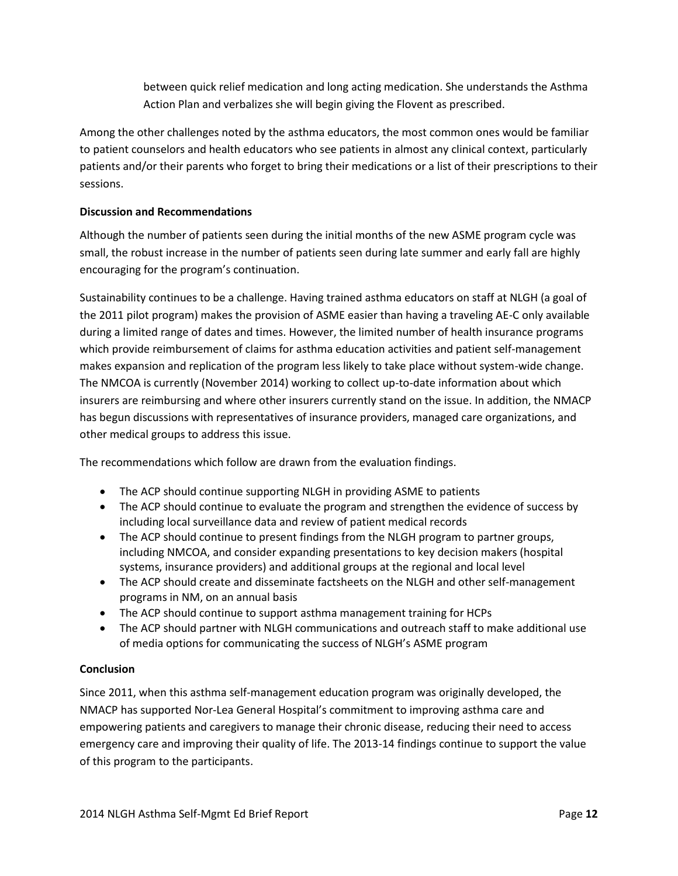between quick relief medication and long acting medication. She understands the Asthma Action Plan and verbalizes she will begin giving the Flovent as prescribed.

Among the other challenges noted by the asthma educators, the most common ones would be familiar to patient counselors and health educators who see patients in almost any clinical context, particularly patients and/or their parents who forget to bring their medications or a list of their prescriptions to their sessions.

# **Discussion and Recommendations**

Although the number of patients seen during the initial months of the new ASME program cycle was small, the robust increase in the number of patients seen during late summer and early fall are highly encouraging for the program's continuation.

Sustainability continues to be a challenge. Having trained asthma educators on staff at NLGH (a goal of the 2011 pilot program) makes the provision of ASME easier than having a traveling AE-C only available during a limited range of dates and times. However, the limited number of health insurance programs which provide reimbursement of claims for asthma education activities and patient self-management makes expansion and replication of the program less likely to take place without system-wide change. The NMCOA is currently (November 2014) working to collect up-to-date information about which insurers are reimbursing and where other insurers currently stand on the issue. In addition, the NMACP has begun discussions with representatives of insurance providers, managed care organizations, and other medical groups to address this issue.

The recommendations which follow are drawn from the evaluation findings.

- The ACP should continue supporting NLGH in providing ASME to patients
- The ACP should continue to evaluate the program and strengthen the evidence of success by including local surveillance data and review of patient medical records
- The ACP should continue to present findings from the NLGH program to partner groups, including NMCOA, and consider expanding presentations to key decision makers (hospital systems, insurance providers) and additional groups at the regional and local level
- The ACP should create and disseminate factsheets on the NLGH and other self-management programs in NM, on an annual basis
- The ACP should continue to support asthma management training for HCPs
- The ACP should partner with NLGH communications and outreach staff to make additional use of media options for communicating the success of NLGH's ASME program

# **Conclusion**

Since 2011, when this asthma self-management education program was originally developed, the NMACP has supported Nor-Lea General Hospital's commitment to improving asthma care and empowering patients and caregivers to manage their chronic disease, reducing their need to access emergency care and improving their quality of life. The 2013-14 findings continue to support the value of this program to the participants.